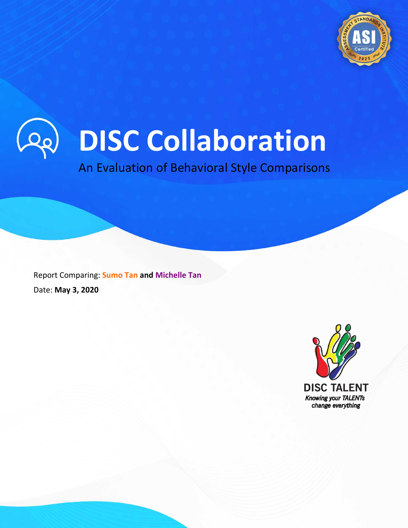



An Evaluation of Behavioral Style Comparisons

Copyright © 2020 A24x7. All rights reserved. 1

Report Comparing: **Sumo Tan and Michelle Tan** Date: **May 3, 2020**

**SUMO BIZZ (M) SDN BHD** 1700-81-3132 www.disctalent.com

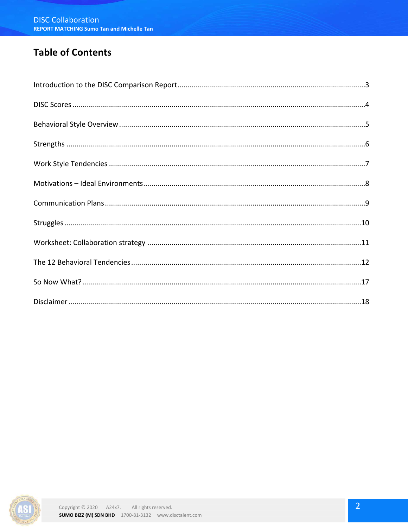## **Table of Contents**

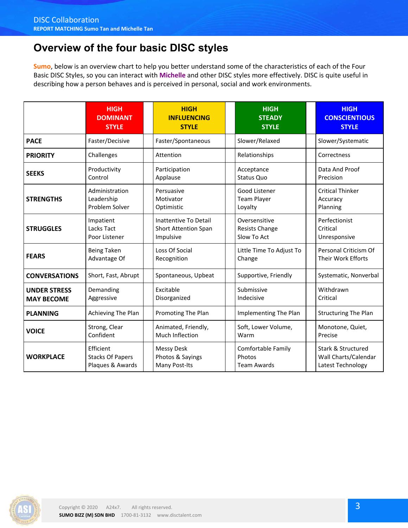# **Overview of the four basic DISC styles**

**Sumo**, below is an overview chart to help you better understand some of the characteristics of each of the Four Basic DISC Styles, so you can interact with **Michelle** and other DISC styles more effectively. DISC is quite useful in describing how a person behaves and is perceived in personal, social and work environments.

|                                          | <b>HIGH</b><br><b>DOMINANT</b><br><b>STYLE</b>           | <b>HIGH</b><br><b>INFLUENCING</b><br><b>STYLE</b>                 | <b>HIGH</b><br><b>STEADY</b><br><b>STYLE</b>              | <b>HIGH</b><br><b>CONSCIENTIOUS</b><br><b>STYLE</b>             |
|------------------------------------------|----------------------------------------------------------|-------------------------------------------------------------------|-----------------------------------------------------------|-----------------------------------------------------------------|
| <b>PACE</b>                              | Faster/Decisive                                          | Faster/Spontaneous                                                | Slower/Relaxed                                            | Slower/Systematic                                               |
| <b>PRIORITY</b>                          | Challenges                                               | Attention                                                         | Relationships                                             | Correctness                                                     |
| <b>SEEKS</b>                             | Productivity<br>Control                                  | Participation<br>Applause                                         | Acceptance<br>Status Quo                                  | Data And Proof<br>Precision                                     |
| <b>STRENGTHS</b>                         | Administration<br>Leadership<br>Problem Solver           | Persuasive<br>Motivator<br>Optimistic                             | Good Listener<br><b>Team Player</b><br>Loyalty            | <b>Critical Thinker</b><br>Accuracy<br>Planning                 |
| <b>STRUGGLES</b>                         | Impatient<br>Lacks Tact<br>Poor Listener                 | Inattentive To Detail<br><b>Short Attention Span</b><br>Impulsive | Oversensitive<br>Resists Change<br>Slow To Act            | Perfectionist<br>Critical<br>Unresponsive                       |
| <b>FEARS</b>                             | <b>Being Taken</b><br>Advantage Of                       | Loss Of Social<br>Recognition                                     | Little Time To Adjust To<br>Change                        | Personal Criticism Of<br>Their Work Efforts                     |
| <b>CONVERSATIONS</b>                     | Short, Fast, Abrupt                                      | Spontaneous, Upbeat                                               | Supportive, Friendly                                      | Systematic, Nonverbal                                           |
| <b>UNDER STRESS</b><br><b>MAY BECOME</b> | Demanding<br>Aggressive                                  | Excitable<br>Disorganized                                         | Submissive<br>Indecisive                                  | Withdrawn<br>Critical                                           |
| <b>PLANNING</b>                          | Achieving The Plan                                       | Promoting The Plan                                                | Implementing The Plan                                     | <b>Structuring The Plan</b>                                     |
| <b>VOICE</b>                             | Strong, Clear<br>Confident                               | Animated, Friendly,<br>Much Inflection                            | Soft, Lower Volume,<br>Warm                               | Monotone, Quiet,<br>Precise                                     |
| <b>WORKPLACE</b>                         | Efficient<br><b>Stacks Of Papers</b><br>Plaques & Awards | <b>Messy Desk</b><br>Photos & Sayings<br>Many Post-Its            | <b>Comfortable Family</b><br>Photos<br><b>Team Awards</b> | Stark & Structured<br>Wall Charts/Calendar<br>Latest Technology |

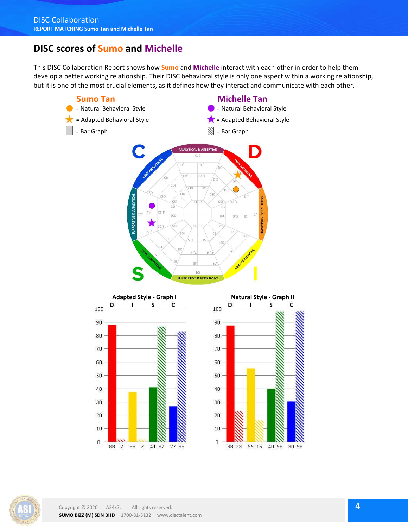### **DISC scores of Sumo and Michelle**

This DISC Collaboration Report shows how **Sumo** and **Michelle** interact with each other in order to help them develop a better working relationship. Their DISC behavioral style is only one aspect within a working relationship, but it is one of the most crucial elements, as it defines how they interact and communicate with each other.







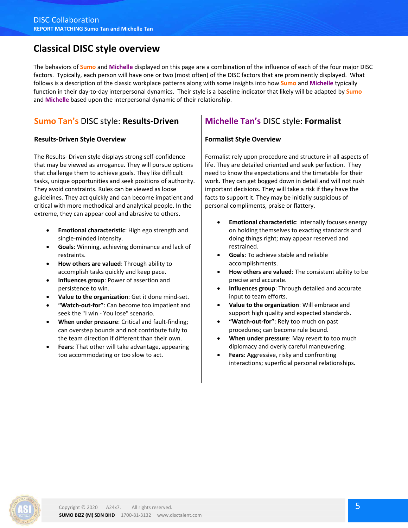### **Classical DISC style overview**

The behaviors of **Sumo** and **Michelle** displayed on this page are a combination of the influence of each of the four major DISC factors. Typically, each person will have one or two (most often) of the DISC factors that are prominently displayed. What follows is a description of the classic workplace patterns along with some insights into how **Sumo** and **Michelle** typically function in their day-to-day interpersonal dynamics. Their style is a baseline indicator that likely will be adapted by **Sumo** and **Michelle** based upon the interpersonal dynamic of their relationship.

#### **Sumo Tan's** DISC style: **Results-Driven**

#### **Results-Driven Style Overview**

The Results- Driven style displays strong self-confidence that may be viewed as arrogance. They will pursue options that challenge them to achieve goals. They like difficult tasks, unique opportunities and seek positions of authority. They avoid constraints. Rules can be viewed as loose guidelines. They act quickly and can become impatient and critical with more methodical and analytical people. In the extreme, they can appear cool and abrasive to others.

- **Emotional characteristic**: High ego strength and single-minded intensity.
- **Goals**: Winning, achieving dominance and lack of restraints.
- **How others are valued**: Through ability to accomplish tasks quickly and keep pace.
- **Influences group**: Power of assertion and persistence to win.
- **Value to the organization**: Get it done mind-set.
- **"Watch-out-for"**: Can become too impatient and seek the "I win - You lose" scenario.
- **When under pressure**: Critical and fault-finding; can overstep bounds and not contribute fully to the team direction if different than their own.
- **Fears**: That other will take advantage, appearing too accommodating or too slow to act.

### **Michelle Tan's** DISC style: **Formalist**

#### **Formalist Style Overview**

Formalist rely upon procedure and structure in all aspects of life. They are detailed oriented and seek perfection. They need to know the expectations and the timetable for their work. They can get bogged down in detail and will not rush important decisions. They will take a risk if they have the facts to support it. They may be initially suspicious of personal compliments, praise or flattery.

- **Emotional characteristic**: Internally focuses energy on holding themselves to exacting standards and doing things right; may appear reserved and restrained.
- **Goals**: To achieve stable and reliable accomplishments.
- **How others are valued**: The consistent ability to be precise and accurate.
- **Influences group**: Through detailed and accurate input to team efforts.
- **Value to the organization**: Will embrace and support high quality and expected standards.
- **"Watch-out-for"**: Rely too much on past procedures; can become rule bound.
- **When under pressure**: May revert to too much diplomacy and overly careful maneuvering.
- **Fears**: Aggressive, risky and confronting interactions; superficial personal relationships.

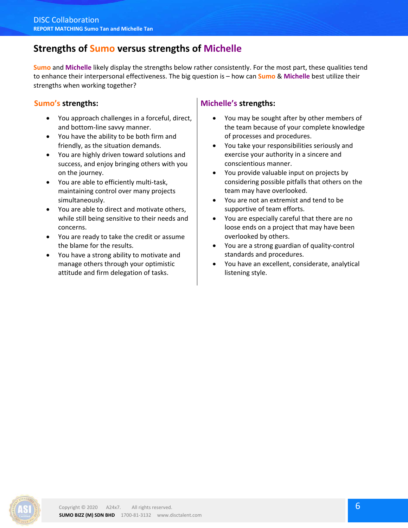### **Strengths of Sumo versus strengths of Michelle**

**Sumo** and **Michelle** likely display the strengths below rather consistently. For the most part, these qualities tend to enhance their interpersonal effectiveness. The big question is – how can **Sumo** & **Michelle** best utilize their strengths when working together?

#### **Sumo's strengths:**

- You approach challenges in a forceful, direct, and bottom-line savvy manner.
- You have the ability to be both firm and friendly, as the situation demands.
- You are highly driven toward solutions and success, and enjoy bringing others with you on the journey.
- You are able to efficiently multi-task, maintaining control over many projects simultaneously.
- You are able to direct and motivate others, while still being sensitive to their needs and concerns.
- You are ready to take the credit or assume the blame for the results.
- You have a strong ability to motivate and manage others through your optimistic attitude and firm delegation of tasks.

#### **Michelle's strengths:**

- You may be sought after by other members of the team because of your complete knowledge of processes and procedures.
- You take your responsibilities seriously and exercise your authority in a sincere and conscientious manner.
- You provide valuable input on projects by considering possible pitfalls that others on the team may have overlooked.
- You are not an extremist and tend to be supportive of team efforts.
- You are especially careful that there are no loose ends on a project that may have been overlooked by others.
- You are a strong guardian of quality-control standards and procedures.
- You have an excellent, considerate, analytical listening style.

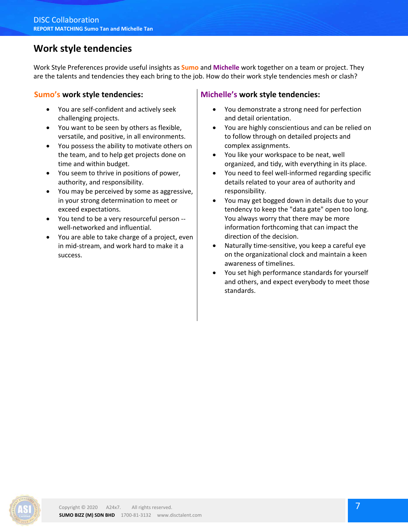### **Work style tendencies**

Work Style Preferences provide useful insights as **Sumo** and **Michelle** work together on a team or project. They are the talents and tendencies they each bring to the job. How do their work style tendencies mesh or clash?

#### **Sumo's work style tendencies:**

- You are self-confident and actively seek challenging projects.
- You want to be seen by others as flexible, versatile, and positive, in all environments.
- You possess the ability to motivate others on the team, and to help get projects done on time and within budget.
- You seem to thrive in positions of power, authority, and responsibility.
- You may be perceived by some as aggressive, in your strong determination to meet or exceed expectations.
- You tend to be a very resourceful person well-networked and influential.
- You are able to take charge of a project, even in mid-stream, and work hard to make it a success.

#### **Michelle's work style tendencies:**

- You demonstrate a strong need for perfection and detail orientation.
- You are highly conscientious and can be relied on to follow through on detailed projects and complex assignments.
- You like your workspace to be neat, well organized, and tidy, with everything in its place.
- You need to feel well-informed regarding specific details related to your area of authority and responsibility.
- You may get bogged down in details due to your tendency to keep the "data gate" open too long. You always worry that there may be more information forthcoming that can impact the direction of the decision.
- Naturally time-sensitive, you keep a careful eye on the organizational clock and maintain a keen awareness of timelines.
- You set high performance standards for yourself and others, and expect everybody to meet those standards.

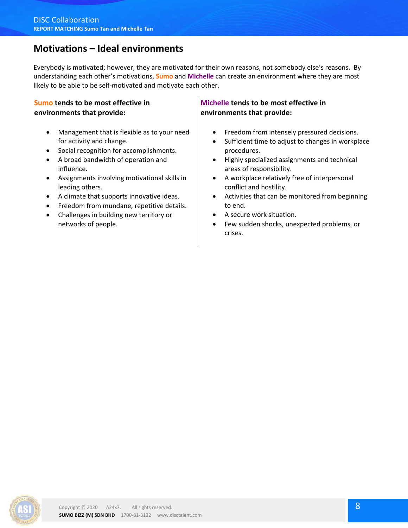## **Motivations – Ideal environments**

Everybody is motivated; however, they are motivated for their own reasons, not somebody else's reasons. By understanding each other's motivations, **Sumo** and **Michelle** can create an environment where they are most likely to be able to be self-motivated and motivate each other.

#### **Sumo tends to be most effective in environments that provide:**

- Management that is flexible as to your need for activity and change.
- Social recognition for accomplishments.
- A broad bandwidth of operation and influence.
- Assignments involving motivational skills in leading others.
- A climate that supports innovative ideas.
- Freedom from mundane, repetitive details.
- Challenges in building new territory or networks of people.

#### **Michelle tends to be most effective in environments that provide:**

- **•** Freedom from intensely pressured decisions.
- Sufficient time to adjust to changes in workplace procedures.
- Highly specialized assignments and technical areas of responsibility.
- A workplace relatively free of interpersonal conflict and hostility.
- Activities that can be monitored from beginning to end.
- A secure work situation.
- Few sudden shocks, unexpected problems, or crises.

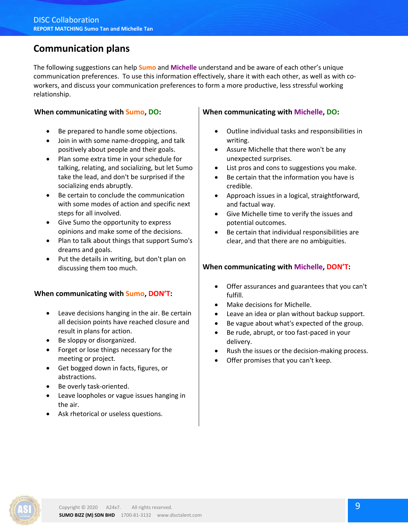### **Communication plans**

The following suggestions can help **Sumo** and **Michelle** understand and be aware of each other's unique communication preferences. To use this information effectively, share it with each other, as well as with coworkers, and discuss your communication preferences to form a more productive, less stressful working relationship.

#### **When communicating with Sumo, DO:**

- Be prepared to handle some objections.
- Join in with some name-dropping, and talk positively about people and their goals.
- Plan some extra time in your schedule for talking, relating, and socializing, but let Sumo take the lead, and don't be surprised if the socializing ends abruptly.
- Be certain to conclude the communication with some modes of action and specific next steps for all involved.
- Give Sumo the opportunity to express opinions and make some of the decisions.
- Plan to talk about things that support Sumo's dreams and goals.
- Put the details in writing, but don't plan on discussing them too much.

#### **When communicating with Sumo, DON'T:**

- Leave decisions hanging in the air. Be certain all decision points have reached closure and result in plans for action.
- Be sloppy or disorganized.
- Forget or lose things necessary for the meeting or project.
- Get bogged down in facts, figures, or abstractions.
- Be overly task-oriented.
- Leave loopholes or vague issues hanging in the air.
- Ask rhetorical or useless questions.

#### **When communicating with Michelle, DO:**

- Outline individual tasks and responsibilities in writing.
- Assure Michelle that there won't be any unexpected surprises.
- List pros and cons to suggestions you make.
- Be certain that the information you have is credible.
- Approach issues in a logical, straightforward, and factual way.
- Give Michelle time to verify the issues and potential outcomes.
- Be certain that individual responsibilities are clear, and that there are no ambiguities.

#### **When communicating with Michelle, DON'T:**

- Offer assurances and guarantees that you can't fulfill.
- Make decisions for Michelle.
- Leave an idea or plan without backup support.
- Be vague about what's expected of the group.
- Be rude, abrupt, or too fast-paced in your delivery.
- Rush the issues or the decision-making process.
- Offer promises that you can't keep.

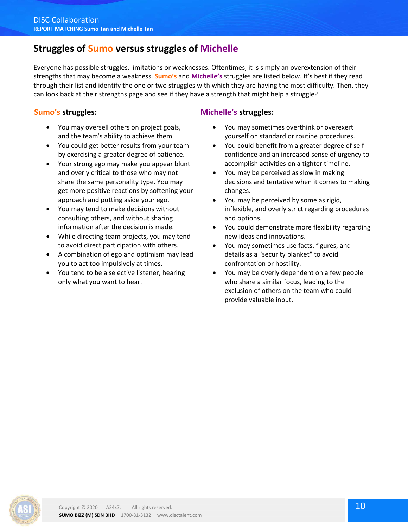## **Struggles of Sumo versus struggles of Michelle**

Everyone has possible struggles, limitations or weaknesses. Oftentimes, it is simply an overextension of their strengths that may become a weakness. **Sumo's** and **Michelle's** struggles are listed below. It's best if they read through their list and identify the one or two struggles with which they are having the most difficulty. Then, they can look back at their strengths page and see if they have a strength that might help a struggle?

#### **Sumo's struggles:**

- You may oversell others on project goals, and the team's ability to achieve them.
- You could get better results from your team by exercising a greater degree of patience.
- Your strong ego may make you appear blunt and overly critical to those who may not share the same personality type. You may get more positive reactions by softening your approach and putting aside your ego.
- You may tend to make decisions without consulting others, and without sharing information after the decision is made.
- While directing team projects, you may tend to avoid direct participation with others.
- A combination of ego and optimism may lead you to act too impulsively at times.
- You tend to be a selective listener, hearing only what you want to hear.

#### **Michelle's struggles:**

- You may sometimes overthink or overexert yourself on standard or routine procedures.
- You could benefit from a greater degree of selfconfidence and an increased sense of urgency to accomplish activities on a tighter timeline.
- You may be perceived as slow in making decisions and tentative when it comes to making changes.
- You may be perceived by some as rigid, inflexible, and overly strict regarding procedures and options.
- You could demonstrate more flexibility regarding new ideas and innovations.
- You may sometimes use facts, figures, and details as a "security blanket" to avoid confrontation or hostility.
- You may be overly dependent on a few people who share a similar focus, leading to the exclusion of others on the team who could provide valuable input.

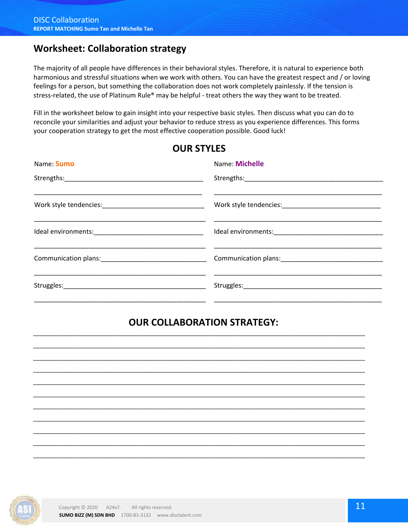### **Worksheet: Collaboration strategy**

The majority of all people have differences in their behavioral styles. Therefore, it is natural to experience both harmonious and stressful situations when we work with others. You can have the greatest respect and / or loving feelings for a person, but something the collaboration does not work completely painlessly. If the tension is stress-related, the use of Platinum Rule® may be helpful - treat others the way they want to be treated.

Fill in the worksheet below to gain insight into your respective basic styles. Then discuss what you can do to reconcile your similarities and adjust your behavior to reduce stress as you experience differences. This forms your cooperation strategy to get the most effective cooperation possible. Good luck!

**OUR STYLES**

| Name: Michelle |
|----------------|
|                |
|                |
|                |
|                |
|                |

### **OUR COLLABORATION STRATEGY:**

\_\_\_\_\_\_\_\_\_\_\_\_\_\_\_\_\_\_\_\_\_\_\_\_\_\_\_\_\_\_\_\_\_\_\_\_\_\_\_\_\_\_\_\_\_\_\_\_\_\_\_\_\_\_\_\_\_\_\_\_\_\_\_\_\_\_\_\_\_\_\_\_\_\_\_\_\_\_\_\_\_\_\_\_\_\_\_\_\_\_\_\_\_\_\_\_\_\_\_\_ \_\_\_\_\_\_\_\_\_\_\_\_\_\_\_\_\_\_\_\_\_\_\_\_\_\_\_\_\_\_\_\_\_\_\_\_\_\_\_\_\_\_\_\_\_\_\_\_\_\_\_\_\_\_\_\_\_\_\_\_\_\_\_\_\_\_\_\_\_\_\_\_\_\_\_\_\_\_\_\_\_\_\_\_\_\_\_\_\_\_\_\_\_\_\_\_\_\_\_\_ \_\_\_\_\_\_\_\_\_\_\_\_\_\_\_\_\_\_\_\_\_\_\_\_\_\_\_\_\_\_\_\_\_\_\_\_\_\_\_\_\_\_\_\_\_\_\_\_\_\_\_\_\_\_\_\_\_\_\_\_\_\_\_\_\_\_\_\_\_\_\_\_\_\_\_\_\_\_\_\_\_\_\_\_\_\_\_\_\_\_\_\_\_\_\_\_\_\_\_\_ \_\_\_\_\_\_\_\_\_\_\_\_\_\_\_\_\_\_\_\_\_\_\_\_\_\_\_\_\_\_\_\_\_\_\_\_\_\_\_\_\_\_\_\_\_\_\_\_\_\_\_\_\_\_\_\_\_\_\_\_\_\_\_\_\_\_\_\_\_\_\_\_\_\_\_\_\_\_\_\_\_\_\_\_\_\_\_\_\_\_\_\_\_\_\_\_\_\_\_\_ \_\_\_\_\_\_\_\_\_\_\_\_\_\_\_\_\_\_\_\_\_\_\_\_\_\_\_\_\_\_\_\_\_\_\_\_\_\_\_\_\_\_\_\_\_\_\_\_\_\_\_\_\_\_\_\_\_\_\_\_\_\_\_\_\_\_\_\_\_\_\_\_\_\_\_\_\_\_\_\_\_\_\_\_\_\_\_\_\_\_\_\_\_\_\_\_\_\_\_\_ \_\_\_\_\_\_\_\_\_\_\_\_\_\_\_\_\_\_\_\_\_\_\_\_\_\_\_\_\_\_\_\_\_\_\_\_\_\_\_\_\_\_\_\_\_\_\_\_\_\_\_\_\_\_\_\_\_\_\_\_\_\_\_\_\_\_\_\_\_\_\_\_\_\_\_\_\_\_\_\_\_\_\_\_\_\_\_\_\_\_\_\_\_\_\_\_\_\_\_\_ \_\_\_\_\_\_\_\_\_\_\_\_\_\_\_\_\_\_\_\_\_\_\_\_\_\_\_\_\_\_\_\_\_\_\_\_\_\_\_\_\_\_\_\_\_\_\_\_\_\_\_\_\_\_\_\_\_\_\_\_\_\_\_\_\_\_\_\_\_\_\_\_\_\_\_\_\_\_\_\_\_\_\_\_\_\_\_\_\_\_\_\_\_\_\_\_\_\_\_\_ \_\_\_\_\_\_\_\_\_\_\_\_\_\_\_\_\_\_\_\_\_\_\_\_\_\_\_\_\_\_\_\_\_\_\_\_\_\_\_\_\_\_\_\_\_\_\_\_\_\_\_\_\_\_\_\_\_\_\_\_\_\_\_\_\_\_\_\_\_\_\_\_\_\_\_\_\_\_\_\_\_\_\_\_\_\_\_\_\_\_\_\_\_\_\_\_\_\_\_\_ \_\_\_\_\_\_\_\_\_\_\_\_\_\_\_\_\_\_\_\_\_\_\_\_\_\_\_\_\_\_\_\_\_\_\_\_\_\_\_\_\_\_\_\_\_\_\_\_\_\_\_\_\_\_\_\_\_\_\_\_\_\_\_\_\_\_\_\_\_\_\_\_\_\_\_\_\_\_\_\_\_\_\_\_\_\_\_\_\_\_\_\_\_\_\_\_\_\_\_\_ \_\_\_\_\_\_\_\_\_\_\_\_\_\_\_\_\_\_\_\_\_\_\_\_\_\_\_\_\_\_\_\_\_\_\_\_\_\_\_\_\_\_\_\_\_\_\_\_\_\_\_\_\_\_\_\_\_\_\_\_\_\_\_\_\_\_\_\_\_\_\_\_\_\_\_\_\_\_\_\_\_\_\_\_\_\_\_\_\_\_\_\_\_\_\_\_\_\_\_\_ \_\_\_\_\_\_\_\_\_\_\_\_\_\_\_\_\_\_\_\_\_\_\_\_\_\_\_\_\_\_\_\_\_\_\_\_\_\_\_\_\_\_\_\_\_\_\_\_\_\_\_\_\_\_\_\_\_\_\_\_\_\_\_\_\_\_\_\_\_\_\_\_\_\_\_\_\_\_\_\_\_\_\_\_\_\_\_\_\_\_\_\_\_\_\_\_\_\_\_\_

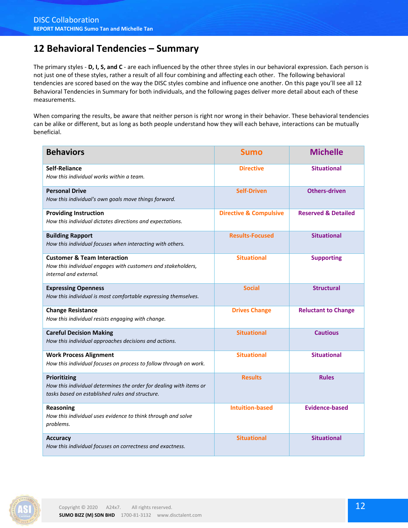### **12 Behavioral Tendencies – Summary**

The primary styles - **D, I, S, and C** - are each influenced by the other three styles in our behavioral expression. Each person is not just one of these styles, rather a result of all four combining and affecting each other. The following behavioral tendencies are scored based on the way the DISC styles combine and influence one another. On this page you'll see all 12 Behavioral Tendencies in Summary for both individuals, and the following pages deliver more detail about each of these measurements.

When comparing the results, be aware that neither person is right nor wrong in their behavior. These behavioral tendencies can be alike or different, but as long as both people understand how they will each behave, interactions can be mutually beneficial.

| <b>Behaviors</b>                                                                                                                      | <b>Sumo</b>                       | <b>Michelle</b>                |
|---------------------------------------------------------------------------------------------------------------------------------------|-----------------------------------|--------------------------------|
| Self-Reliance<br>How this individual works within a team.                                                                             | <b>Directive</b>                  | <b>Situational</b>             |
| <b>Personal Drive</b><br>How this individual's own goals move things forward.                                                         | <b>Self-Driven</b>                | <b>Others-driven</b>           |
| <b>Providing Instruction</b><br>How this individual dictates directions and expectations.                                             | <b>Directive &amp; Compulsive</b> | <b>Reserved &amp; Detailed</b> |
| <b>Building Rapport</b><br>How this individual focuses when interacting with others.                                                  | <b>Results-Focused</b>            | <b>Situational</b>             |
| <b>Customer &amp; Team Interaction</b><br>How this individual engages with customers and stakeholders,<br>internal and external.      | <b>Situational</b>                | <b>Supporting</b>              |
| <b>Expressing Openness</b><br>How this individual is most comfortable expressing themselves.                                          | <b>Social</b>                     | <b>Structural</b>              |
| <b>Change Resistance</b><br>How this individual resists engaging with change.                                                         | <b>Drives Change</b>              | <b>Reluctant to Change</b>     |
| <b>Careful Decision Making</b><br>How this individual approaches decisions and actions.                                               | <b>Situational</b>                | <b>Cautious</b>                |
| <b>Work Process Alignment</b><br>How this individual focuses on process to follow through on work.                                    | <b>Situational</b>                | <b>Situational</b>             |
| Prioritizing<br>How this individual determines the order for dealing with items or<br>tasks based on established rules and structure. | <b>Results</b>                    | <b>Rules</b>                   |
| Reasoning<br>How this individual uses evidence to think through and solve<br>problems.                                                | <b>Intuition-based</b>            | <b>Evidence-based</b>          |
| <b>Accuracy</b><br>How this individual focuses on correctness and exactness.                                                          | <b>Situational</b>                | <b>Situational</b>             |

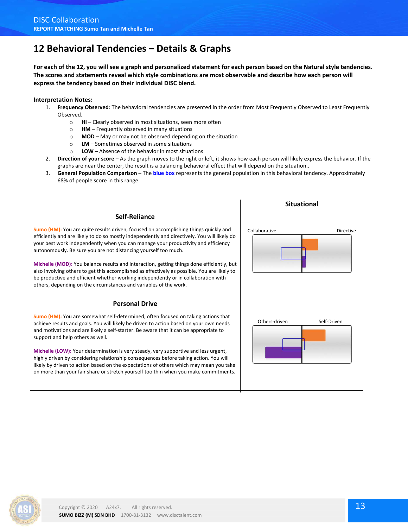## **12 Behavioral Tendencies – Details & Graphs**

**For each of the 12, you will see a graph and personalized statement for each person based on the Natural style tendencies. The scores and statements reveal which style combinations are most observable and describe how each person will express the tendency based on their individual DISC blend.**

#### **Interpretation Notes:**

- 1. **Frequency Observed**: The behavioral tendencies are presented in the order from Most Frequently Observed to Least Frequently Observed.
	- o **HI** Clearly observed in most situations, seen more often
	- o **HM** Frequently observed in many situations
	- o **MOD** May or may not be observed depending on the situation
	- o **LM** Sometimes observed in some situations
	- o **LOW**  Absence of the behavior in most situations
- 2. **Direction of your score** As the graph moves to the right or left, it shows how each person will likely express the behavior. If the graphs are near the center, the result is a balancing behavioral effect that will depend on the situation..
- 3. **General Population Comparison** The **blue box** represents the general population in this behavioral tendency. Approximately 68% of people score in this range.





on more than your fair share or stretch yourself too thin when you make commitments.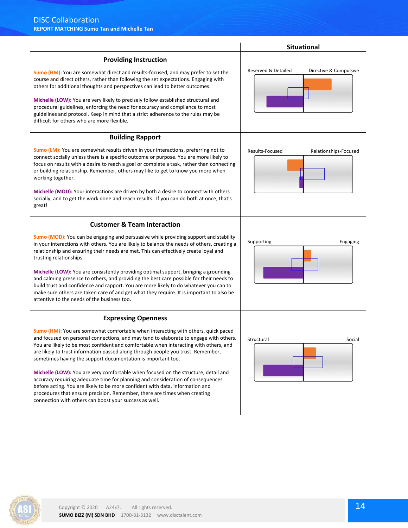| <u>REPURT MATCHING SUITIO THII AND MICHEILE THII</u>                                                                                                                                                                                                                                                                                                                                                                                                                                                                                                                                                                                                                                                                                 |                                               |
|--------------------------------------------------------------------------------------------------------------------------------------------------------------------------------------------------------------------------------------------------------------------------------------------------------------------------------------------------------------------------------------------------------------------------------------------------------------------------------------------------------------------------------------------------------------------------------------------------------------------------------------------------------------------------------------------------------------------------------------|-----------------------------------------------|
|                                                                                                                                                                                                                                                                                                                                                                                                                                                                                                                                                                                                                                                                                                                                      | <b>Situational</b>                            |
| <b>Providing Instruction</b>                                                                                                                                                                                                                                                                                                                                                                                                                                                                                                                                                                                                                                                                                                         |                                               |
| Sumo (HM): You are somewhat direct and results-focused, and may prefer to set the<br>course and direct others, rather than following the set expectations. Engaging with<br>others for additional thoughts and perspectives can lead to better outcomes.<br>Michelle (LOW): You are very likely to precisely follow established structural and<br>procedural guidelines, enforcing the need for accuracy and compliance to most<br>guidelines and protocol. Keep in mind that a strict adherence to the rules may be<br>difficult for others who are more flexible.                                                                                                                                                                  | Reserved & Detailed<br>Directive & Compulsive |
| <b>Building Rapport</b>                                                                                                                                                                                                                                                                                                                                                                                                                                                                                                                                                                                                                                                                                                              |                                               |
| Sumo (LM): You are somewhat results driven in your interactions, preferring not to<br>connect socially unless there is a specific outcome or purpose. You are more likely to<br>focus on results with a desire to reach a goal or complete a task, rather than connecting<br>or building relationship. Remember, others may like to get to know you more when<br>working together.<br>Michelle (MOD): Your interactions are driven by both a desire to connect with others<br>socially, and to get the work done and reach results. If you can do both at once, that's<br>great!                                                                                                                                                     | Results-Focused<br>Relationships-Focused      |
| <b>Customer &amp; Team Interaction</b>                                                                                                                                                                                                                                                                                                                                                                                                                                                                                                                                                                                                                                                                                               |                                               |
| <b>Sumo (MOD):</b> You can be engaging and persuasive while providing support and stability<br>in your interactions with others. You are likely to balance the needs of others, creating a<br>relationship and ensuring their needs are met. This can effectively create loyal and<br>trusting relationships.<br>Michelle (LOW): You are consistently providing optimal support, bringing a grounding<br>and calming presence to others, and providing the best care possible for their needs to<br>build trust and confidence and rapport. You are more likely to do whatever you can to<br>make sure others are taken care of and get what they require. It is important to also be<br>attentive to the needs of the business too. | Supporting<br>Engaging                        |
| <b>Expressing Openness</b>                                                                                                                                                                                                                                                                                                                                                                                                                                                                                                                                                                                                                                                                                                           |                                               |
| Sumo (HM): You are somewhat comfortable when interacting with others, quick paced<br>and focused on personal connections, and may tend to elaborate to engage with others.<br>You are likely to be most confident and comfortable when interacting with others, and<br>are likely to trust information passed along through people you trust. Remember,<br>sometimes having the support documentation is important too.                                                                                                                                                                                                                                                                                                              | Structural<br>Social                          |
| Michelle (LOW): You are very comfortable when focused on the structure, detail and<br>accuracy requiring adequate time for planning and consideration of consequences<br>before acting. You are likely to be more confident with data, information and<br>procedures that ensure precision. Remember, there are times when creating                                                                                                                                                                                                                                                                                                                                                                                                  |                                               |

connection with others can boost your success as well.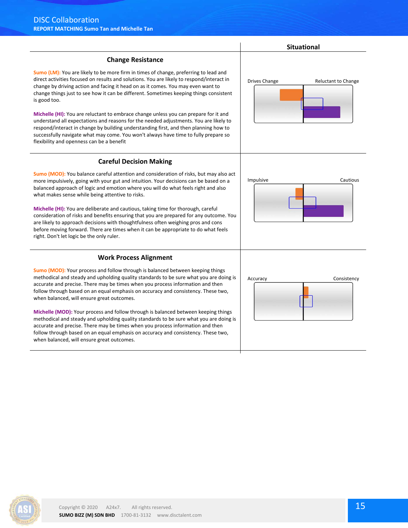

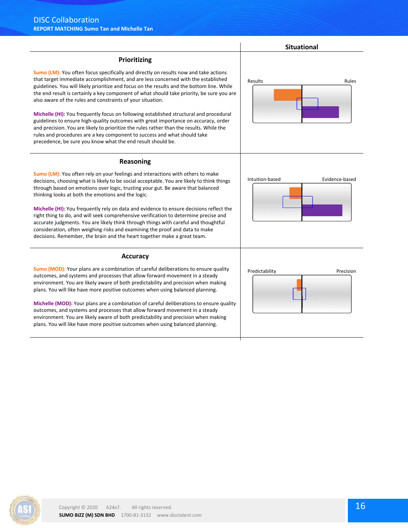|                                                                                                                                                                                                                                                                                                                                                                                                                                                                                                                                                                                                                                                                                                                                                                                                                                                            | <b>Situational</b>                |
|------------------------------------------------------------------------------------------------------------------------------------------------------------------------------------------------------------------------------------------------------------------------------------------------------------------------------------------------------------------------------------------------------------------------------------------------------------------------------------------------------------------------------------------------------------------------------------------------------------------------------------------------------------------------------------------------------------------------------------------------------------------------------------------------------------------------------------------------------------|-----------------------------------|
| Prioritizing                                                                                                                                                                                                                                                                                                                                                                                                                                                                                                                                                                                                                                                                                                                                                                                                                                               |                                   |
| Sumo (LM): You often focus specifically and directly on results now and take actions<br>that target immediate accomplishment, and are less concerned with the established<br>guidelines. You will likely prioritize and focus on the results and the bottom line. While<br>the end result is certainly a key component of what should take priority, be sure you are<br>also aware of the rules and constraints of your situation.<br>Michelle (HI): You frequently focus on following established structural and procedural<br>guidelines to ensure high-quality outcomes with great importance on accuracy, order<br>and precision. You are likely to prioritize the rules rather than the results. While the<br>rules and procedures are a key component to success and what should take<br>precedence, be sure you know what the end result should be. | Results<br>Rules                  |
| Reasoning<br>Sumo (LM): You often rely on your feelings and interactions with others to make<br>decisions, choosing what is likely to be social acceptable. You are likely to think things<br>through based on emotions over logic, trusting your gut. Be aware that balanced<br>thinking looks at both the emotions and the logic.<br>Michelle (HI): You frequently rely on data and evidence to ensure decisions reflect the<br>right thing to do, and will seek comprehensive verification to determine precise and<br>accurate judgments. You are likely think through things with careful and thoughtful<br>consideration, often weighing risks and examining the proof and data to make<br>decisions. Remember, the brain and the heart together make a great team.                                                                                  | Intuition-based<br>Evidence-based |
| <b>Accuracy</b>                                                                                                                                                                                                                                                                                                                                                                                                                                                                                                                                                                                                                                                                                                                                                                                                                                            |                                   |
| <b>Sumo (MOD):</b> Your plans are a combination of careful deliberations to ensure quality<br>outcomes, and systems and processes that allow forward movement in a steady<br>environment. You are likely aware of both predictability and precision when making<br>plans. You will like have more positive outcomes when using balanced planning.<br>Michelle (MOD): Your plans are a combination of careful deliberations to ensure quality<br>outcomes, and systems and processes that allow forward movement in a steady<br>environment. You are likely aware of both predictability and precision when making<br>plans. You will like have more positive outcomes when using balanced planning.                                                                                                                                                        | Predictability<br>Precision       |

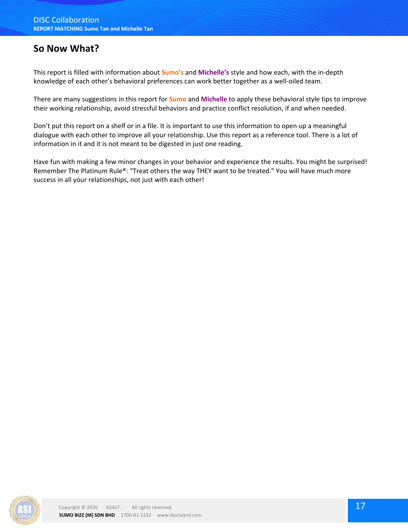### **So Now What?**

This report is filled with information about **Sumo's** and **Michelle's** style and how each, with the in-depth knowledge of each other's behavioral preferences can work better together as a well-oiled team.

There are many suggestions in this report for **Sumo** and **Michelle** to apply these behavioral style tips to improve their working relationship, avoid stressful behaviors and practice conflict resolution, if and when needed.

Don't put this report on a shelf or in a file. It is important to use this information to open up a meaningful dialogue with each other to improve all your relationship. Use this report as a reference tool. There is a lot of information in it and it is not meant to be digested in just one reading.

Have fun with making a few minor changes in your behavior and experience the results. You might be surprised! Remember The Platinum Rule®: "Treat others the way THEY want to be treated." You will have much more success in all your relationships, not just with each other!